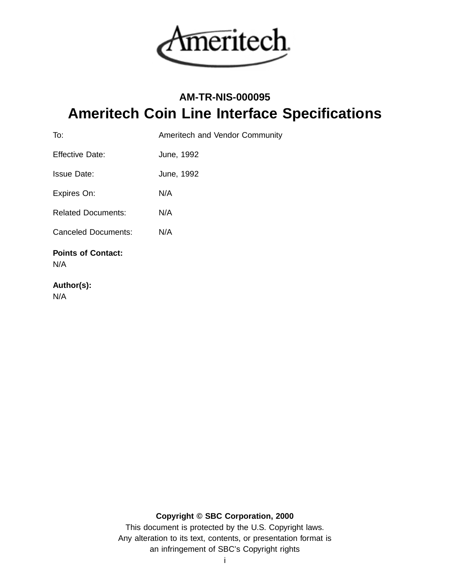

# **AM-TR-NIS-000095 Ameritech Coin Line Interface Specifications**

| Author(s):                       |                                |
|----------------------------------|--------------------------------|
| <b>Points of Contact:</b><br>N/A |                                |
| <b>Canceled Documents:</b>       | N/A                            |
| <b>Related Documents:</b>        | N/A                            |
| Expires On:                      | N/A                            |
| <b>Issue Date:</b>               | June, 1992                     |
| <b>Effective Date:</b>           | June, 1992                     |
| To:                              | Ameritech and Vendor Community |

N/A

**Copyright © SBC Corporation, 2000**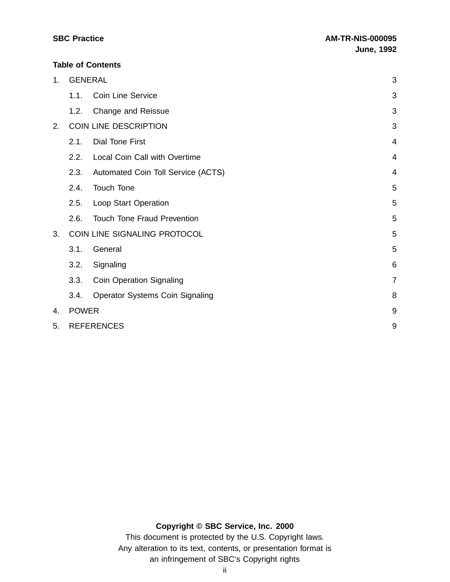| <b>AM-TR-NIS-000095</b> |  |
|-------------------------|--|
| <b>June, 1992</b>       |  |

# **Table of Contents**

| <b>GENERAL</b><br>1.        |                   |                                        | 3              |
|-----------------------------|-------------------|----------------------------------------|----------------|
|                             | 1.1.              | <b>Coin Line Service</b>               | 3              |
|                             | 1.2.              | Change and Reissue                     | 3              |
| COIN LINE DESCRIPTION<br>2. |                   |                                        | 3              |
|                             | 2.1.              | <b>Dial Tone First</b>                 | $\overline{4}$ |
|                             | 2.2.              | Local Coin Call with Overtime          | $\overline{4}$ |
|                             | 2.3.              | Automated Coin Toll Service (ACTS)     | $\overline{4}$ |
|                             | 2.4.              | <b>Touch Tone</b>                      | 5              |
|                             | 2.5.              | Loop Start Operation                   | 5              |
|                             | 2.6.              | <b>Touch Tone Fraud Prevention</b>     | 5              |
| 3.                          |                   | COIN LINE SIGNALING PROTOCOL           | 5              |
|                             | 3.1.              | General                                | 5              |
|                             | 3.2.              | Signaling                              | 6              |
|                             | 3.3.              | <b>Coin Operation Signaling</b>        | $\overline{7}$ |
|                             | 3.4.              | <b>Operator Systems Coin Signaling</b> | 8              |
| 4.                          | <b>POWER</b>      |                                        | 9              |
| 5.                          | <b>REFERENCES</b> |                                        | 9              |

# **Copyright © SBC Service, Inc. 2000**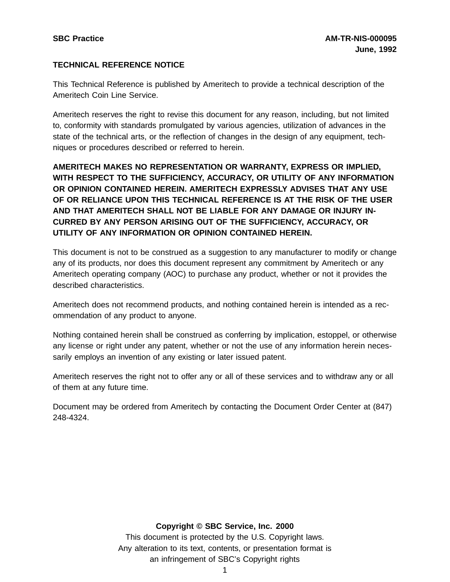# **TECHNICAL REFERENCE NOTICE**

This Technical Reference is published by Ameritech to provide a technical description of the Ameritech Coin Line Service.

Ameritech reserves the right to revise this document for any reason, including, but not limited to, conformity with standards promulgated by various agencies, utilization of advances in the state of the technical arts, or the reflection of changes in the design of any equipment, techniques or procedures described or referred to herein.

**AMERITECH MAKES NO REPRESENTATION OR WARRANTY, EXPRESS OR IMPLIED, WITH RESPECT TO THE SUFFICIENCY, ACCURACY, OR UTILITY OF ANY INFORMATION OR OPINION CONTAINED HEREIN. AMERITECH EXPRESSLY ADVISES THAT ANY USE OF OR RELIANCE UPON THIS TECHNICAL REFERENCE IS AT THE RISK OF THE USER AND THAT AMERITECH SHALL NOT BE LIABLE FOR ANY DAMAGE OR INJURY IN-CURRED BY ANY PERSON ARISING OUT OF THE SUFFICIENCY, ACCURACY, OR UTILITY OF ANY INFORMATION OR OPINION CONTAINED HEREIN.**

This document is not to be construed as a suggestion to any manufacturer to modify or change any of its products, nor does this document represent any commitment by Ameritech or any Ameritech operating company (AOC) to purchase any product, whether or not it provides the described characteristics.

Ameritech does not recommend products, and nothing contained herein is intended as a recommendation of any product to anyone.

Nothing contained herein shall be construed as conferring by implication, estoppel, or otherwise any license or right under any patent, whether or not the use of any information herein necessarily employs an invention of any existing or later issued patent.

Ameritech reserves the right not to offer any or all of these services and to withdraw any or all of them at any future time.

Document may be ordered from Ameritech by contacting the Document Order Center at (847) 248-4324.

#### **Copyright © SBC Service, Inc. 2000**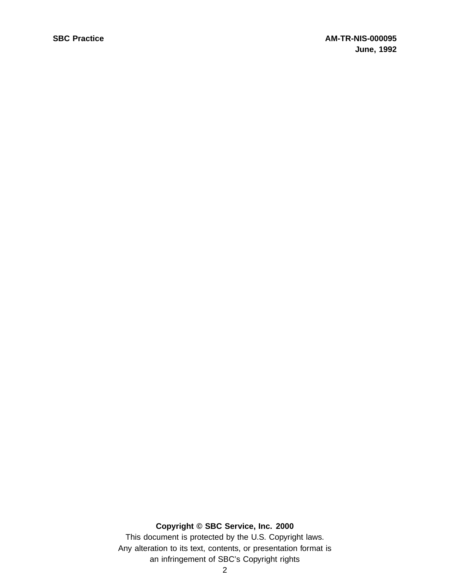# **Copyright © SBC Service, Inc. 2000**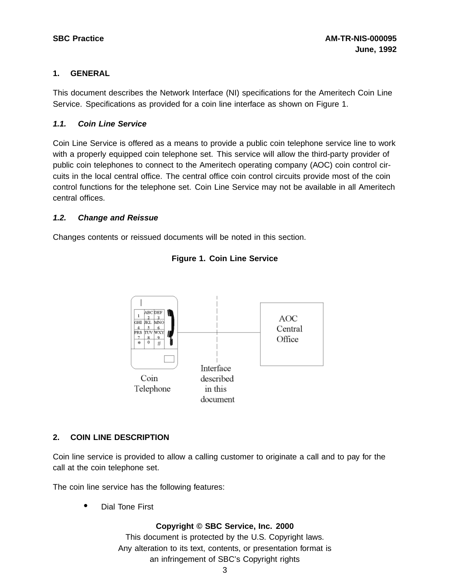# **1. GENERAL**

This document describes the Network Interface (NI) specifications for the Ameritech Coin Line Service. Specifications as provided for a coin line interface as shown on Figure 1.

# **1.1. Coin Line Service**

Coin Line Service is offered as a means to provide a public coin telephone service line to work with a properly equipped coin telephone set. This service will allow the third-party provider of public coin telephones to connect to the Ameritech operating company (AOC) coin control circuits in the local central office. The central office coin control circuits provide most of the coin control functions for the telephone set. Coin Line Service may not be available in all Ameritech central offices.

# **1.2. Change and Reissue**

Changes contents or reissued documents will be noted in this section.





# **2. COIN LINE DESCRIPTION**

Coin line service is provided to allow a calling customer to originate a call and to pay for the call at the coin telephone set.

The coin line service has the following features:

Dial Tone First

# **Copyright © SBC Service, Inc. 2000**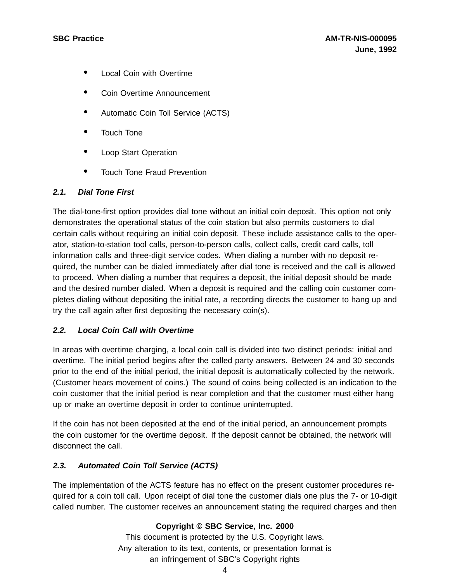- Local Coin with Overtime
- Coin Overtime Announcement
- Automatic Coin Toll Service (ACTS)
- Touch Tone
- Loop Start Operation
- Touch Tone Fraud Prevention

# **2.1. Dial Tone First**

The dial-tone-first option provides dial tone without an initial coin deposit. This option not only demonstrates the operational status of the coin station but also permits customers to dial certain calls without requiring an initial coin deposit. These include assistance calls to the operator, station-to-station tool calls, person-to-person calls, collect calls, credit card calls, toll information calls and three-digit service codes. When dialing a number with no deposit required, the number can be dialed immediately after dial tone is received and the call is allowed to proceed. When dialing a number that requires a deposit, the initial deposit should be made and the desired number dialed. When a deposit is required and the calling coin customer completes dialing without depositing the initial rate, a recording directs the customer to hang up and try the call again after first depositing the necessary coin(s).

# **2.2. Local Coin Call with Overtime**

In areas with overtime charging, a local coin call is divided into two distinct periods: initial and overtime. The initial period begins after the called party answers. Between 24 and 30 seconds prior to the end of the initial period, the initial deposit is automatically collected by the network. (Customer hears movement of coins.) The sound of coins being collected is an indication to the coin customer that the initial period is near completion and that the customer must either hang up or make an overtime deposit in order to continue uninterrupted.

If the coin has not been deposited at the end of the initial period, an announcement prompts the coin customer for the overtime deposit. If the deposit cannot be obtained, the network will disconnect the call.

# **2.3. Automated Coin Toll Service (ACTS)**

The implementation of the ACTS feature has no effect on the present customer procedures required for a coin toll call. Upon receipt of dial tone the customer dials one plus the 7- or 10-digit called number. The customer receives an announcement stating the required charges and then

# **Copyright © SBC Service, Inc. 2000**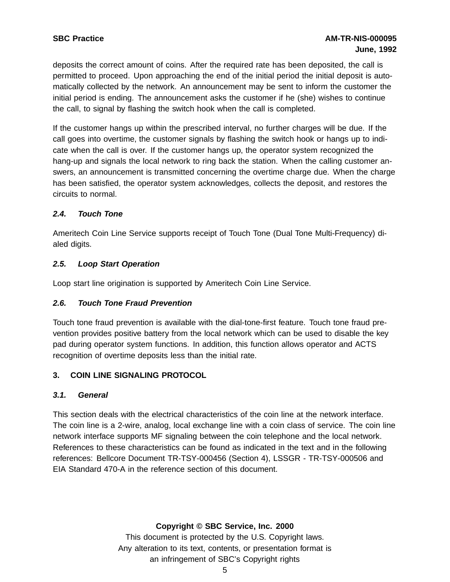deposits the correct amount of coins. After the required rate has been deposited, the call is permitted to proceed. Upon approaching the end of the initial period the initial deposit is automatically collected by the network. An announcement may be sent to inform the customer the initial period is ending. The announcement asks the customer if he (she) wishes to continue the call, to signal by flashing the switch hook when the call is completed.

If the customer hangs up within the prescribed interval, no further charges will be due. If the call goes into overtime, the customer signals by flashing the switch hook or hangs up to indicate when the call is over. If the customer hangs up, the operator system recognized the hang-up and signals the local network to ring back the station. When the calling customer answers, an announcement is transmitted concerning the overtime charge due. When the charge has been satisfied, the operator system acknowledges, collects the deposit, and restores the circuits to normal.

# **2.4. Touch Tone**

Ameritech Coin Line Service supports receipt of Touch Tone (Dual Tone Multi-Frequency) dialed digits.

# **2.5. Loop Start Operation**

Loop start line origination is supported by Ameritech Coin Line Service.

# **2.6. Touch Tone Fraud Prevention**

Touch tone fraud prevention is available with the dial-tone-first feature. Touch tone fraud prevention provides positive battery from the local network which can be used to disable the key pad during operator system functions. In addition, this function allows operator and ACTS recognition of overtime deposits less than the initial rate.

# **3. COIN LINE SIGNALING PROTOCOL**

#### **3.1. General**

This section deals with the electrical characteristics of the coin line at the network interface. The coin line is a 2-wire, analog, local exchange line with a coin class of service. The coin line network interface supports MF signaling between the coin telephone and the local network. References to these characteristics can be found as indicated in the text and in the following references: Bellcore Document TR-TSY-000456 (Section 4), LSSGR - TR-TSY-000506 and EIA Standard 470-A in the reference section of this document.

#### **Copyright © SBC Service, Inc. 2000**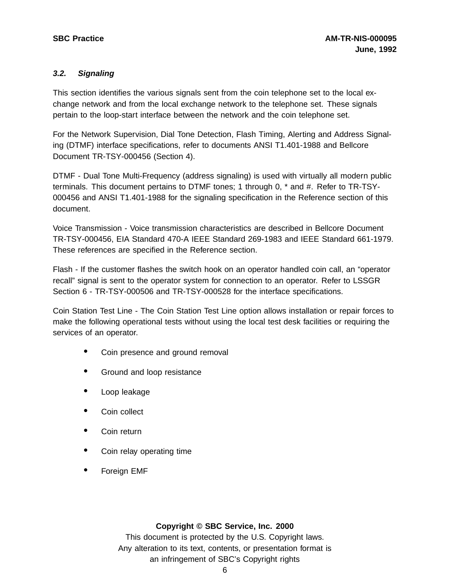# **3.2. Signaling**

This section identifies the various signals sent from the coin telephone set to the local exchange network and from the local exchange network to the telephone set. These signals pertain to the loop-start interface between the network and the coin telephone set.

For the Network Supervision, Dial Tone Detection, Flash Timing, Alerting and Address Signaling (DTMF) interface specifications, refer to documents ANSI T1.401-1988 and Bellcore Document TR-TSY-000456 (Section 4).

DTMF - Dual Tone Multi-Frequency (address signaling) is used with virtually all modern public terminals. This document pertains to DTMF tones; 1 through 0, \* and #. Refer to TR-TSY-000456 and ANSI T1.401-1988 for the signaling specification in the Reference section of this document.

Voice Transmission - Voice transmission characteristics are described in Bellcore Document TR-TSY-000456, EIA Standard 470-A IEEE Standard 269-1983 and IEEE Standard 661-1979. These references are specified in the Reference section.

Flash - If the customer flashes the switch hook on an operator handled coin call, an "operator recall" signal is sent to the operator system for connection to an operator. Refer to LSSGR Section 6 - TR-TSY-000506 and TR-TSY-000528 for the interface specifications.

Coin Station Test Line - The Coin Station Test Line option allows installation or repair forces to make the following operational tests without using the local test desk facilities or requiring the services of an operator.

- Coin presence and ground removal
- Ground and loop resistance
- Loop leakage
- Coin collect
- Coin return
- Coin relay operating time
- Foreign EMF

# **Copyright © SBC Service, Inc. 2000**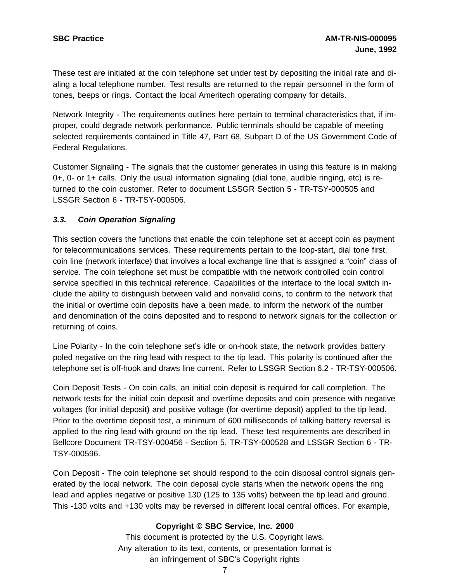These test are initiated at the coin telephone set under test by depositing the initial rate and dialing a local telephone number. Test results are returned to the repair personnel in the form of tones, beeps or rings. Contact the local Ameritech operating company for details.

Network Integrity - The requirements outlines here pertain to terminal characteristics that, if improper, could degrade network performance. Public terminals should be capable of meeting selected requirements contained in Title 47, Part 68, Subpart D of the US Government Code of Federal Regulations.

Customer Signaling - The signals that the customer generates in using this feature is in making 0+, 0- or 1+ calls. Only the usual information signaling (dial tone, audible ringing, etc) is returned to the coin customer. Refer to document LSSGR Section 5 - TR-TSY-000505 and LSSGR Section 6 - TR-TSY-000506.

# **3.3. Coin Operation Signaling**

This section covers the functions that enable the coin telephone set at accept coin as payment for telecommunications services. These requirements pertain to the loop-start, dial tone first, coin line (network interface) that involves a local exchange line that is assigned a "coin" class of service. The coin telephone set must be compatible with the network controlled coin control service specified in this technical reference. Capabilities of the interface to the local switch include the ability to distinguish between valid and nonvalid coins, to confirm to the network that the initial or overtime coin deposits have a been made, to inform the network of the number and denomination of the coins deposited and to respond to network signals for the collection or returning of coins.

Line Polarity - In the coin telephone set's idle or on-hook state, the network provides battery poled negative on the ring lead with respect to the tip lead. This polarity is continued after the telephone set is off-hook and draws line current. Refer to LSSGR Section 6.2 - TR-TSY-000506.

Coin Deposit Tests - On coin calls, an initial coin deposit is required for call completion. The network tests for the initial coin deposit and overtime deposits and coin presence with negative voltages (for initial deposit) and positive voltage (for overtime deposit) applied to the tip lead. Prior to the overtime deposit test, a minimum of 600 milliseconds of talking battery reversal is applied to the ring lead with ground on the tip lead. These test requirements are described in Bellcore Document TR-TSY-000456 - Section 5, TR-TSY-000528 and LSSGR Section 6 - TR-TSY-000596.

Coin Deposit - The coin telephone set should respond to the coin disposal control signals generated by the local network. The coin deposal cycle starts when the network opens the ring lead and applies negative or positive 130 (125 to 135 volts) between the tip lead and ground. This -130 volts and +130 volts may be reversed in different local central offices. For example,

# **Copyright © SBC Service, Inc. 2000**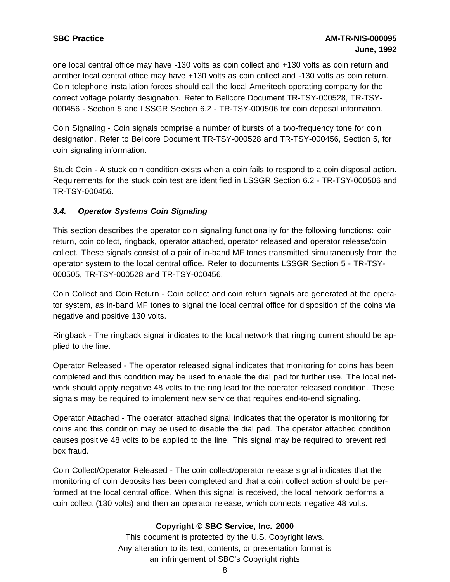one local central office may have -130 volts as coin collect and +130 volts as coin return and another local central office may have +130 volts as coin collect and -130 volts as coin return. Coin telephone installation forces should call the local Ameritech operating company for the correct voltage polarity designation. Refer to Bellcore Document TR-TSY-000528, TR-TSY-000456 - Section 5 and LSSGR Section 6.2 - TR-TSY-000506 for coin deposal information.

Coin Signaling - Coin signals comprise a number of bursts of a two-frequency tone for coin designation. Refer to Bellcore Document TR-TSY-000528 and TR-TSY-000456, Section 5, for coin signaling information.

Stuck Coin - A stuck coin condition exists when a coin fails to respond to a coin disposal action. Requirements for the stuck coin test are identified in LSSGR Section 6.2 - TR-TSY-000506 and TR-TSY-000456.

# **3.4. Operator Systems Coin Signaling**

This section describes the operator coin signaling functionality for the following functions: coin return, coin collect, ringback, operator attached, operator released and operator release/coin collect. These signals consist of a pair of in-band MF tones transmitted simultaneously from the operator system to the local central office. Refer to documents LSSGR Section 5 - TR-TSY-000505, TR-TSY-000528 and TR-TSY-000456.

Coin Collect and Coin Return - Coin collect and coin return signals are generated at the operator system, as in-band MF tones to signal the local central office for disposition of the coins via negative and positive 130 volts.

Ringback - The ringback signal indicates to the local network that ringing current should be applied to the line.

Operator Released - The operator released signal indicates that monitoring for coins has been completed and this condition may be used to enable the dial pad for further use. The local network should apply negative 48 volts to the ring lead for the operator released condition. These signals may be required to implement new service that requires end-to-end signaling.

Operator Attached - The operator attached signal indicates that the operator is monitoring for coins and this condition may be used to disable the dial pad. The operator attached condition causes positive 48 volts to be applied to the line. This signal may be required to prevent red box fraud.

Coin Collect/Operator Released - The coin collect/operator release signal indicates that the monitoring of coin deposits has been completed and that a coin collect action should be performed at the local central office. When this signal is received, the local network performs a coin collect (130 volts) and then an operator release, which connects negative 48 volts.

# **Copyright © SBC Service, Inc. 2000**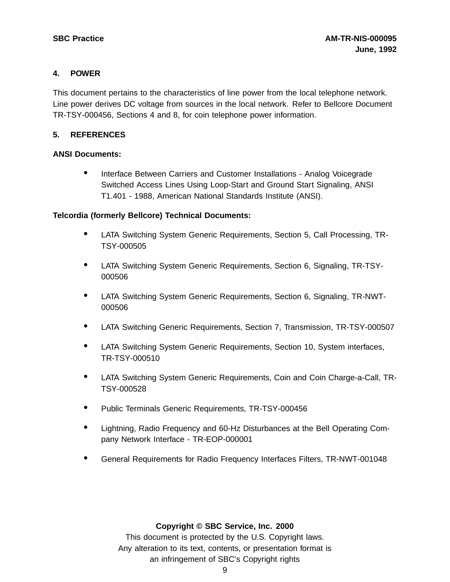# **4. POWER**

This document pertains to the characteristics of line power from the local telephone network. Line power derives DC voltage from sources in the local network. Refer to Bellcore Document TR-TSY-000456, Sections 4 and 8, for coin telephone power information.

# **5. REFERENCES**

# **ANSI Documents:**

• Interface Between Carriers and Customer Installations - Analog Voicegrade Switched Access Lines Using Loop-Start and Ground Start Signaling, ANSI T1.401 - 1988, American National Standards Institute (ANSI).

# **Telcordia (formerly Bellcore) Technical Documents:**

- LATA Switching System Generic Requirements, Section 5, Call Processing, TR-TSY-000505
- LATA Switching System Generic Requirements, Section 6, Signaling, TR-TSY-000506
- LATA Switching System Generic Requirements, Section 6, Signaling, TR-NWT-000506
- LATA Switching Generic Requirements, Section 7, Transmission, TR-TSY-000507
- LATA Switching System Generic Requirements, Section 10, System interfaces, TR-TSY-000510
- LATA Switching System Generic Requirements, Coin and Coin Charge-a-Call, TR-TSY-000528
- Public Terminals Generic Requirements, TR-TSY-000456
- Lightning, Radio Frequency and 60-Hz Disturbances at the Bell Operating Company Network Interface - TR-EOP-000001
- General Requirements for Radio Frequency Interfaces Filters, TR-NWT-001048

# **Copyright © SBC Service, Inc. 2000**